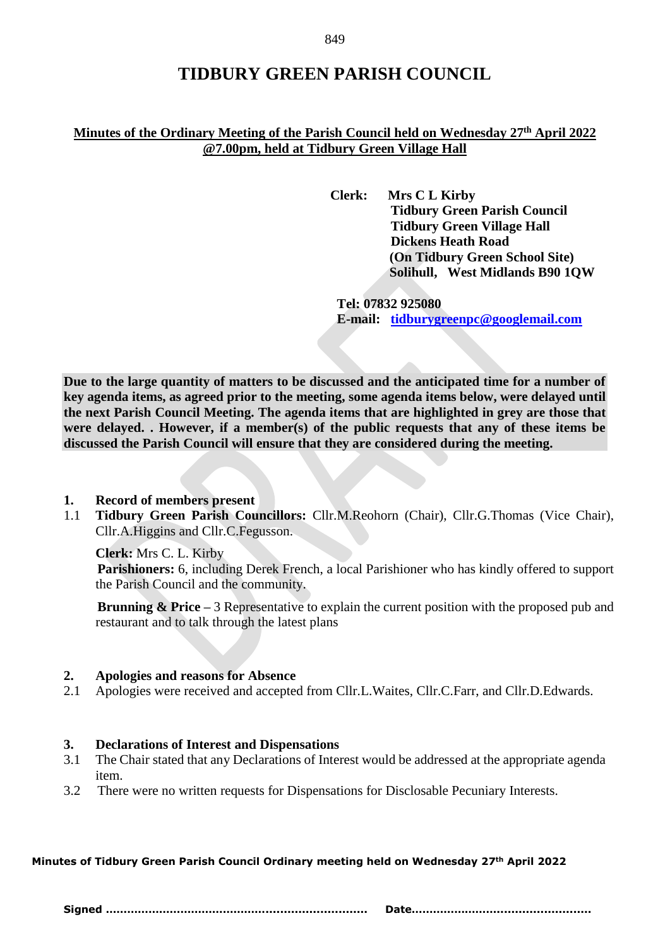# **TIDBURY GREEN PARISH COUNCIL**

# **Minutes of the Ordinary Meeting of the Parish Council held on Wednesday 27 th April 2022 @7.00pm, held at Tidbury Green Village Hall**

**Clerk: Mrs C L Kirby Tidbury Green Parish Council Tidbury Green Village Hall Dickens Heath Road (On Tidbury Green School Site) Solihull, West Midlands B90 1QW**

**Tel: 07832 925080 E-mail: [tidburygreenpc@googlemail.com](mailto:tidburygreenpc@googlemail.com)**

**Due to the large quantity of matters to be discussed and the anticipated time for a number of key agenda items, as agreed prior to the meeting, some agenda items below, were delayed until the next Parish Council Meeting. The agenda items that are highlighted in grey are those that were delayed. . However, if a member(s) of the public requests that any of these items be discussed the Parish Council will ensure that they are considered during the meeting.** 

#### **1. Record of members present**

1.1 **Tidbury Green Parish Councillors:** Cllr.M.Reohorn (Chair), Cllr.G.Thomas (Vice Chair), Cllr.A.Higgins and Cllr.C.Fegusson.

**Clerk:** Mrs C. L. Kirby

 **Parishioners:** 6, including Derek French, a local Parishioner who has kindly offered to support the Parish Council and the community.

**Brunning & Price** – 3 Representative to explain the current position with the proposed pub and restaurant and to talk through the latest plans

# **2. Apologies and reasons for Absence**

2.1 Apologies were received and accepted from Cllr.L.Waites, Cllr.C.Farr, and Cllr.D.Edwards.

# **3. Declarations of Interest and Dispensations**

- 3.1 The Chair stated that any Declarations of Interest would be addressed at the appropriate agenda item.
- 3.2 There were no written requests for Dispensations for Disclosable Pecuniary Interests.

# **Minutes of Tidbury Green Parish Council Ordinary meeting held on Wednesday 27th April 2022**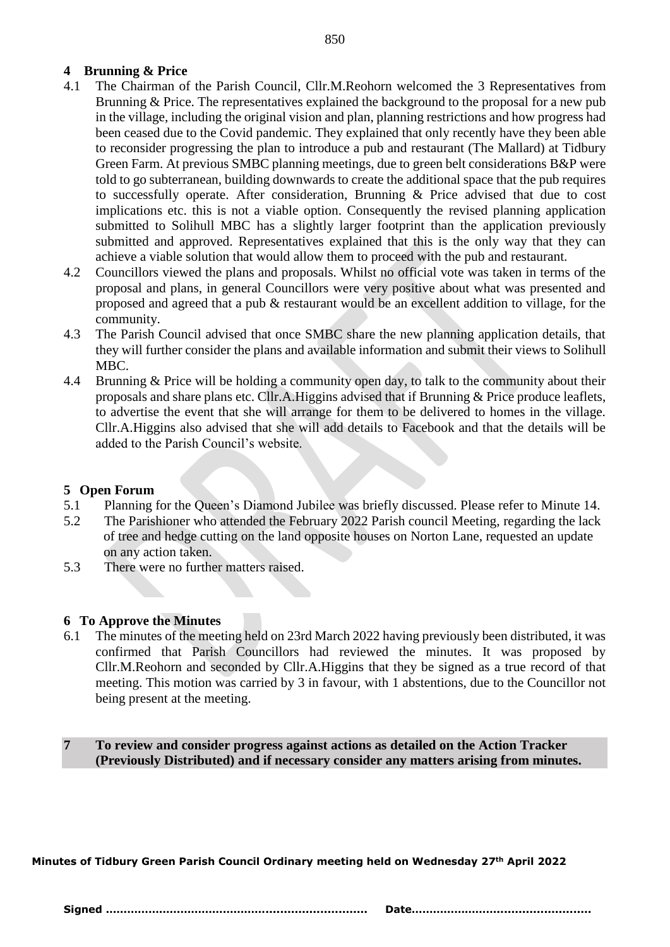# **4 Brunning & Price**

- 4.1 The Chairman of the Parish Council, Cllr.M.Reohorn welcomed the 3 Representatives from Brunning & Price. The representatives explained the background to the proposal for a new pub in the village, including the original vision and plan, planning restrictions and how progress had been ceased due to the Covid pandemic. They explained that only recently have they been able to reconsider progressing the plan to introduce a pub and restaurant (The Mallard) at Tidbury Green Farm. At previous SMBC planning meetings, due to green belt considerations B&P were told to go subterranean, building downwards to create the additional space that the pub requires to successfully operate. After consideration, Brunning & Price advised that due to cost implications etc. this is not a viable option. Consequently the revised planning application submitted to Solihull MBC has a slightly larger footprint than the application previously submitted and approved. Representatives explained that this is the only way that they can achieve a viable solution that would allow them to proceed with the pub and restaurant.
- 4.2 Councillors viewed the plans and proposals. Whilst no official vote was taken in terms of the proposal and plans, in general Councillors were very positive about what was presented and proposed and agreed that a pub & restaurant would be an excellent addition to village, for the community.
- 4.3 The Parish Council advised that once SMBC share the new planning application details, that they will further consider the plans and available information and submit their views to Solihull MBC.
- 4.4 Brunning & Price will be holding a community open day, to talk to the community about their proposals and share plans etc. Cllr.A.Higgins advised that if Brunning & Price produce leaflets, to advertise the event that she will arrange for them to be delivered to homes in the village. Cllr.A.Higgins also advised that she will add details to Facebook and that the details will be added to the Parish Council's website.

# **5 Open Forum**

- 5.1 Planning for the Queen's Diamond Jubilee was briefly discussed. Please refer to Minute 14.
- 5.2 The Parishioner who attended the February 2022 Parish council Meeting, regarding the lack of tree and hedge cutting on the land opposite houses on Norton Lane, requested an update on any action taken.
- 5.3 There were no further matters raised.

# **6 To Approve the Minutes**

6.1 The minutes of the meeting held on 23rd March 2022 having previously been distributed, it was confirmed that Parish Councillors had reviewed the minutes. It was proposed by Cllr.M.Reohorn and seconded by Cllr.A.Higgins that they be signed as a true record of that meeting. This motion was carried by 3 in favour, with 1 abstentions, due to the Councillor not being present at the meeting.

**7 To review and consider progress against actions as detailed on the Action Tracker (Previously Distributed) and if necessary consider any matters arising from minutes.** 

**Minutes of Tidbury Green Parish Council Ordinary meeting held on Wednesday 27th April 2022**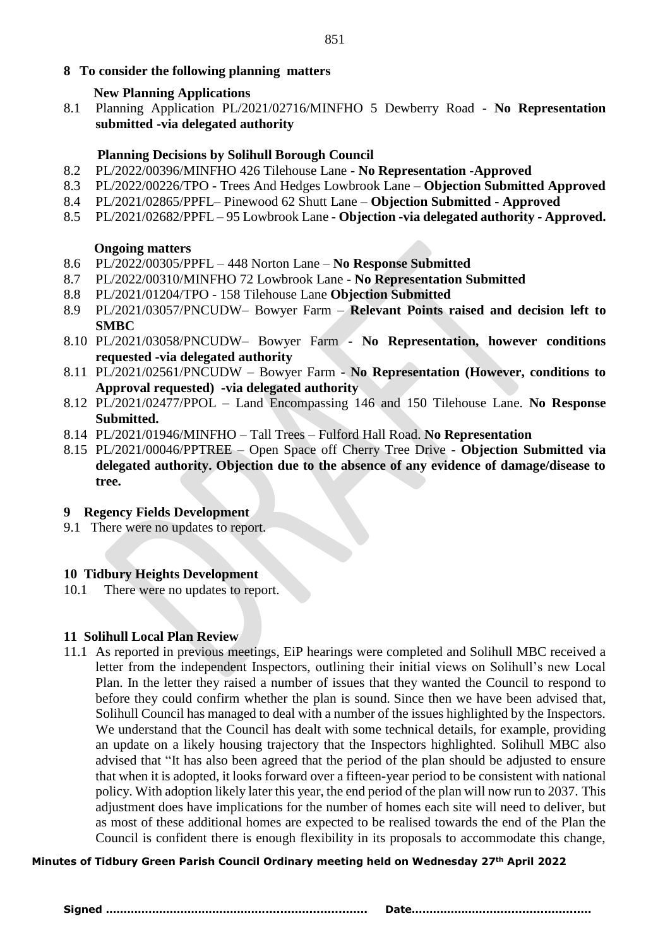# **8 To consider the following planning matters**

#### **New Planning Applications**

8.1 Planning Application PL/2021/02716/MINFHO 5 Dewberry Road - **No Representation submitted -via delegated authority**

#### **Planning Decisions by Solihull Borough Council**

- 8.2 PL/2022/00396/MINFHO 426 Tilehouse Lane **- No Representation -Approved**
- 8.3 PL/2022/00226/TPO Trees And Hedges Lowbrook Lane **Objection Submitted Approved**
- 8.4 PL/2021/02865/PPFL– Pinewood 62 Shutt Lane **Objection Submitted - Approved**
- 8.5 PL/2021/02682/PPFL 95 Lowbrook Lane **Objection -via delegated authority - Approved.**

#### **Ongoing matters**

- 8.6 PL/2022/00305/PPFL 448 Norton Lane **No Response Submitted**
- 8.7 PL/2022/00310/MINFHO 72 Lowbrook Lane **No Representation Submitted**
- 8.8 PL/2021/01204/TPO 158 Tilehouse Lane **Objection Submitted**
- 8.9 PL/2021/03057/PNCUDW– Bowyer Farm **Relevant Points raised and decision left to SMBC**
- 8.10 PL/2021/03058/PNCUDW– Bowyer Farm **No Representation, however conditions requested -via delegated authority**
- 8.11 PL/2021/02561/PNCUDW Bowyer Farm **No Representation (However, conditions to Approval requested) -via delegated authority**
- 8.12 PL/2021/02477/PPOL Land Encompassing 146 and 150 Tilehouse Lane. **No Response Submitted.**
- 8.14 PL/2021/01946/MINFHO Tall Trees Fulford Hall Road. **No Representation**
- 8.15 PL/2021/00046/PPTREE Open Space off Cherry Tree Drive **Objection Submitted via delegated authority. Objection due to the absence of any evidence of damage/disease to tree.**

#### **9 Regency Fields Development**

9.1 There were no updates to report.

#### **10 Tidbury Heights Development**

10.1 There were no updates to report.

# **11 Solihull Local Plan Review**

11.1 As reported in previous meetings, EiP hearings were completed and Solihull MBC received a letter from the independent Inspectors, outlining their initial views on Solihull's new Local Plan. In the letter they raised a number of issues that they wanted the Council to respond to before they could confirm whether the plan is sound. Since then we have been advised that, Solihull Council has managed to deal with a number of the issues highlighted by the Inspectors. We understand that the Council has dealt with some technical details, for example, providing an update on a likely housing trajectory that the Inspectors highlighted. Solihull MBC also advised that "It has also been agreed that the period of the plan should be adjusted to ensure that when it is adopted, it looks forward over a fifteen-year period to be consistent with national policy. With adoption likely later this year, the end period of the plan will now run to 2037. This adjustment does have implications for the number of homes each site will need to deliver, but as most of these additional homes are expected to be realised towards the end of the Plan the Council is confident there is enough flexibility in its proposals to accommodate this change,

#### **Minutes of Tidbury Green Parish Council Ordinary meeting held on Wednesday 27th April 2022**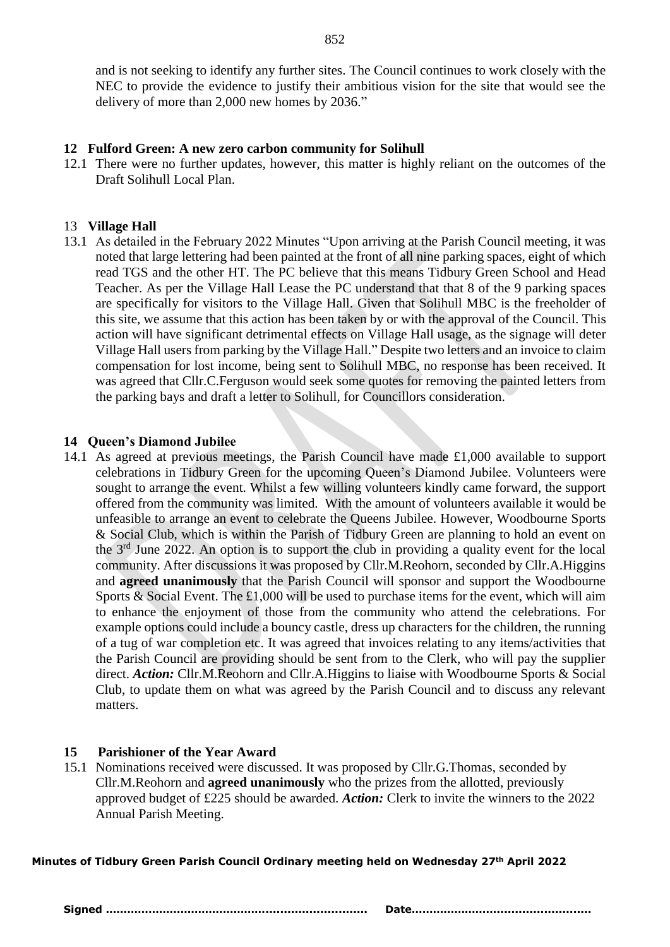and is not seeking to identify any further sites. The Council continues to work closely with the NEC to provide the evidence to justify their ambitious vision for the site that would see the delivery of more than 2,000 new homes by 2036."

# **12 Fulford Green: A new zero carbon community for Solihull**

12.1 There were no further updates, however, this matter is highly reliant on the outcomes of the Draft Solihull Local Plan.

# 13 **Village Hall**

13.1 As detailed in the February 2022 Minutes "Upon arriving at the Parish Council meeting, it was noted that large lettering had been painted at the front of all nine parking spaces, eight of which read TGS and the other HT. The PC believe that this means Tidbury Green School and Head Teacher. As per the Village Hall Lease the PC understand that that 8 of the 9 parking spaces are specifically for visitors to the Village Hall. Given that Solihull MBC is the freeholder of this site, we assume that this action has been taken by or with the approval of the Council. This action will have significant detrimental effects on Village Hall usage, as the signage will deter Village Hall users from parking by the Village Hall." Despite two letters and an invoice to claim compensation for lost income, being sent to Solihull MBC, no response has been received. It was agreed that Cllr.C.Ferguson would seek some quotes for removing the painted letters from the parking bays and draft a letter to Solihull, for Councillors consideration.

# **14 Queen's Diamond Jubilee**

14.1 As agreed at previous meetings, the Parish Council have made £1,000 available to support celebrations in Tidbury Green for the upcoming Queen's Diamond Jubilee. Volunteers were sought to arrange the event. Whilst a few willing volunteers kindly came forward, the support offered from the community was limited. With the amount of volunteers available it would be unfeasible to arrange an event to celebrate the Queens Jubilee. However, Woodbourne Sports & Social Club, which is within the Parish of Tidbury Green are planning to hold an event on the 3rd June 2022. An option is to support the club in providing a quality event for the local community. After discussions it was proposed by Cllr.M.Reohorn, seconded by Cllr.A.Higgins and **agreed unanimously** that the Parish Council will sponsor and support the Woodbourne Sports & Social Event. The £1,000 will be used to purchase items for the event, which will aim to enhance the enjoyment of those from the community who attend the celebrations. For example options could include a bouncy castle, dress up characters for the children, the running of a tug of war completion etc. It was agreed that invoices relating to any items/activities that the Parish Council are providing should be sent from to the Clerk, who will pay the supplier direct. *Action:* Cllr.M.Reohorn and Cllr.A.Higgins to liaise with Woodbourne Sports & Social Club, to update them on what was agreed by the Parish Council and to discuss any relevant matters.

# **15 Parishioner of the Year Award**

15.1 Nominations received were discussed. It was proposed by Cllr.G.Thomas, seconded by Cllr.M.Reohorn and **agreed unanimously** who the prizes from the allotted, previously approved budget of £225 should be awarded. *Action:* Clerk to invite the winners to the 2022 Annual Parish Meeting.

**Minutes of Tidbury Green Parish Council Ordinary meeting held on Wednesday 27th April 2022**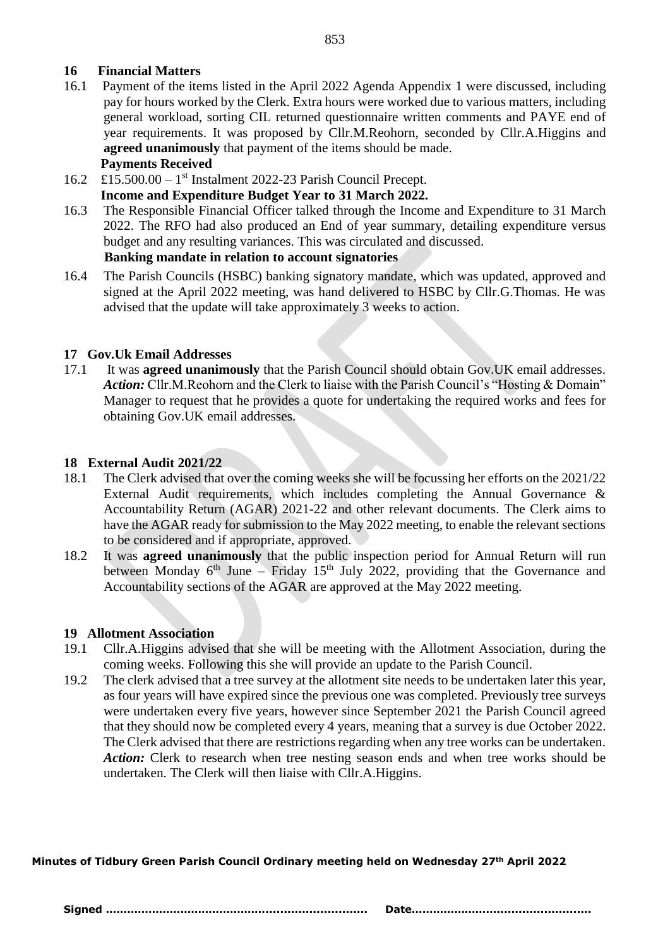# **16 Financial Matters**

- 16.1 Payment of the items listed in the April 2022 Agenda Appendix 1 were discussed, including pay for hours worked by the Clerk. Extra hours were worked due to various matters, including general workload, sorting CIL returned questionnaire written comments and PAYE end of year requirements. It was proposed by Cllr.M.Reohorn, seconded by Cllr.A.Higgins and **agreed unanimously** that payment of the items should be made.  **Payments Received**
- 16.2 £15.500.00 1 st Instalment 2022-23 Parish Council Precept.

# **Income and Expenditure Budget Year to 31 March 2022.**

- 16.3 The Responsible Financial Officer talked through the Income and Expenditure to 31 March 2022. The RFO had also produced an End of year summary, detailing expenditure versus budget and any resulting variances. This was circulated and discussed.  **Banking mandate in relation to account signatories**
- 16.4 The Parish Councils (HSBC) banking signatory mandate, which was updated, approved and signed at the April 2022 meeting, was hand delivered to HSBC by Cllr.G.Thomas. He was advised that the update will take approximately 3 weeks to action.

# **17 Gov.Uk Email Addresses**

17.1 It was **agreed unanimously** that the Parish Council should obtain Gov.UK email addresses. Action: Cllr.M.Reohorn and the Clerk to liaise with the Parish Council's "Hosting & Domain" Manager to request that he provides a quote for undertaking the required works and fees for obtaining Gov.UK email addresses.

# **18 External Audit 2021/22**

- 18.1 The Clerk advised that over the coming weeks she will be focussing her efforts on the 2021/22 External Audit requirements, which includes completing the Annual Governance & Accountability Return (AGAR) 2021-22 and other relevant documents. The Clerk aims to have the AGAR ready for submission to the May 2022 meeting, to enable the relevant sections to be considered and if appropriate, approved.
- 18.2 It was **agreed unanimously** that the public inspection period for Annual Return will run between Monday  $6<sup>th</sup>$  June – Friday 15<sup>th</sup> July 2022, providing that the Governance and Accountability sections of the AGAR are approved at the May 2022 meeting.

# **19 Allotment Association**

- 19.1 Cllr.A.Higgins advised that she will be meeting with the Allotment Association, during the coming weeks. Following this she will provide an update to the Parish Council.
- 19.2 The clerk advised that a tree survey at the allotment site needs to be undertaken later this year, as four years will have expired since the previous one was completed. Previously tree surveys were undertaken every five years, however since September 2021 the Parish Council agreed that they should now be completed every 4 years, meaning that a survey is due October 2022. The Clerk advised that there are restrictions regarding when any tree works can be undertaken. Action: Clerk to research when tree nesting season ends and when tree works should be undertaken. The Clerk will then liaise with Cllr.A.Higgins.

**Minutes of Tidbury Green Parish Council Ordinary meeting held on Wednesday 27th April 2022**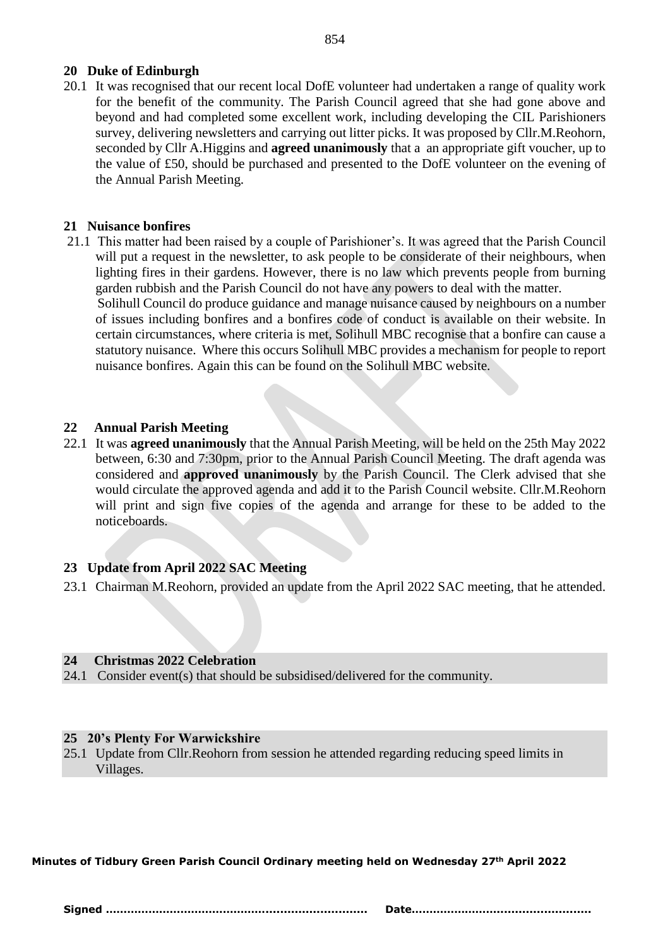#### 854

# **20 Duke of Edinburgh**

20.1 It was recognised that our recent local DofE volunteer had undertaken a range of quality work for the benefit of the community. The Parish Council agreed that she had gone above and beyond and had completed some excellent work, including developing the CIL Parishioners survey, delivering newsletters and carrying out litter picks. It was proposed by Cllr.M.Reohorn, seconded by Cllr A.Higgins and **agreed unanimously** that a an appropriate gift voucher, up to the value of £50, should be purchased and presented to the DofE volunteer on the evening of the Annual Parish Meeting.

# **21 Nuisance bonfires**

21.1 This matter had been raised by a couple of Parishioner's. It was agreed that the Parish Council will put a request in the newsletter, to ask people to be considerate of their neighbours, when lighting fires in their gardens. However, there is no law which prevents people from burning garden rubbish and the Parish Council do not have any powers to deal with the matter. Solihull Council do produce guidance and manage nuisance caused by neighbours on a number of issues including bonfires and a bonfires code of conduct is available on their website. In certain circumstances, where criteria is met, Solihull MBC recognise that a bonfire can cause a

statutory nuisance. Where this occurs Solihull MBC provides a mechanism for people to report nuisance bonfires. Again this can be found on the Solihull MBC website.

# **22 Annual Parish Meeting**

22.1 It was **agreed unanimously** that the Annual Parish Meeting, will be held on the 25th May 2022 between, 6:30 and 7:30pm, prior to the Annual Parish Council Meeting. The draft agenda was considered and **approved unanimously** by the Parish Council. The Clerk advised that she would circulate the approved agenda and add it to the Parish Council website. Cllr.M.Reohorn will print and sign five copies of the agenda and arrange for these to be added to the noticeboards.

# **23 Update from April 2022 SAC Meeting**

23.1 Chairman M.Reohorn, provided an update from the April 2022 SAC meeting, that he attended.

# **24 Christmas 2022 Celebration**

24.1 Consider event(s) that should be subsidised/delivered for the community.

# **25 20's Plenty For Warwickshire**

25.1 Update from Cllr.Reohorn from session he attended regarding reducing speed limits in Villages.

**Minutes of Tidbury Green Parish Council Ordinary meeting held on Wednesday 27th April 2022**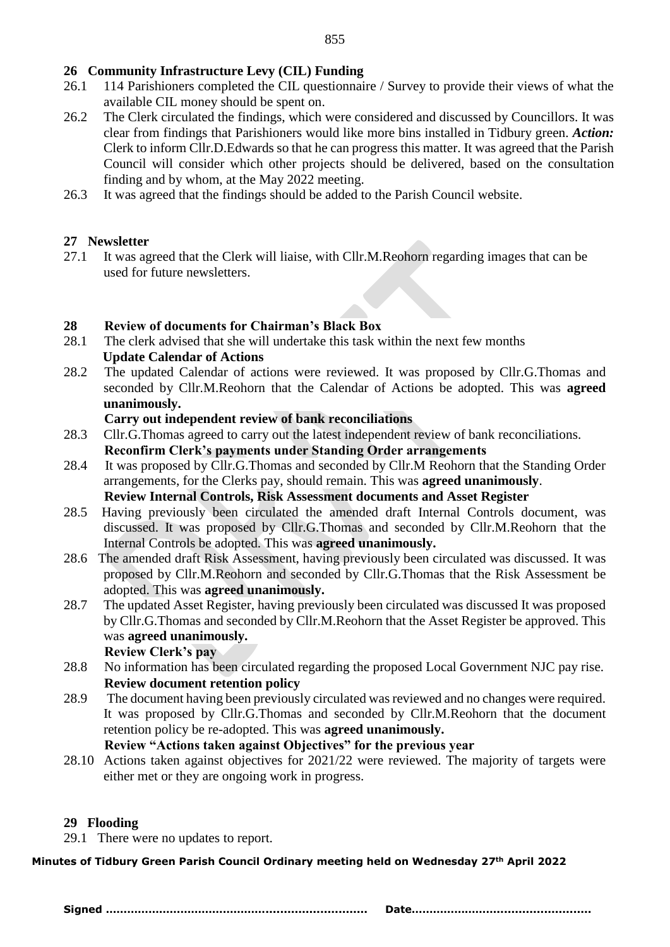# **26 Community Infrastructure Levy (CIL) Funding**

- 26.1 114 Parishioners completed the CIL questionnaire / Survey to provide their views of what the available CIL money should be spent on.
- 26.2 The Clerk circulated the findings, which were considered and discussed by Councillors. It was clear from findings that Parishioners would like more bins installed in Tidbury green. *Action:*  Clerk to inform Cllr.D.Edwards so that he can progress this matter. It was agreed that the Parish Council will consider which other projects should be delivered, based on the consultation finding and by whom, at the May 2022 meeting.
- 26.3 It was agreed that the findings should be added to the Parish Council website.

# **27 Newsletter**

27.1 It was agreed that the Clerk will liaise, with Cllr.M.Reohorn regarding images that can be used for future newsletters.

# **28 Review of documents for Chairman's Black Box**

- 28.1 The clerk advised that she will undertake this task within the next few months **Update Calendar of Actions**
- 28.2 The updated Calendar of actions were reviewed. It was proposed by Cllr.G.Thomas and seconded by Cllr.M.Reohorn that the Calendar of Actions be adopted. This was **agreed unanimously.**

#### **Carry out independent review of bank reconciliations**

- 28.3 Cllr.G.Thomas agreed to carry out the latest independent review of bank reconciliations. **Reconfirm Clerk's payments under Standing Order arrangements**
- 28.4 It was proposed by Cllr.G.Thomas and seconded by Cllr.M Reohorn that the Standing Order arrangements, for the Clerks pay, should remain. This was **agreed unanimously**. **Review Internal Controls, Risk Assessment documents and Asset Register**
- 28.5 Having previously been circulated the amended draft Internal Controls document, was discussed. It was proposed by Cllr.G.Thomas and seconded by Cllr.M.Reohorn that the Internal Controls be adopted. This was **agreed unanimously.**
- 28.6 The amended draft Risk Assessment, having previously been circulated was discussed. It was proposed by Cllr.M.Reohorn and seconded by Cllr.G.Thomas that the Risk Assessment be adopted. This was **agreed unanimously.**
- 28.7 The updated Asset Register, having previously been circulated was discussed It was proposed by Cllr.G.Thomas and seconded by Cllr.M.Reohorn that the Asset Register be approved. This was **agreed unanimously.**

# **Review Clerk's pay**

- 28.8 No information has been circulated regarding the proposed Local Government NJC pay rise.  **Review document retention policy**
- 28.9 The document having been previously circulated was reviewed and no changes were required. It was proposed by Cllr.G.Thomas and seconded by Cllr.M.Reohorn that the document retention policy be re-adopted. This was **agreed unanimously.**

# **Review "Actions taken against Objectives" for the previous year**

28.10 Actions taken against objectives for 2021/22 were reviewed. The majority of targets were either met or they are ongoing work in progress.

# **29 Flooding**

29.1 There were no updates to report.

**Minutes of Tidbury Green Parish Council Ordinary meeting held on Wednesday 27th April 2022**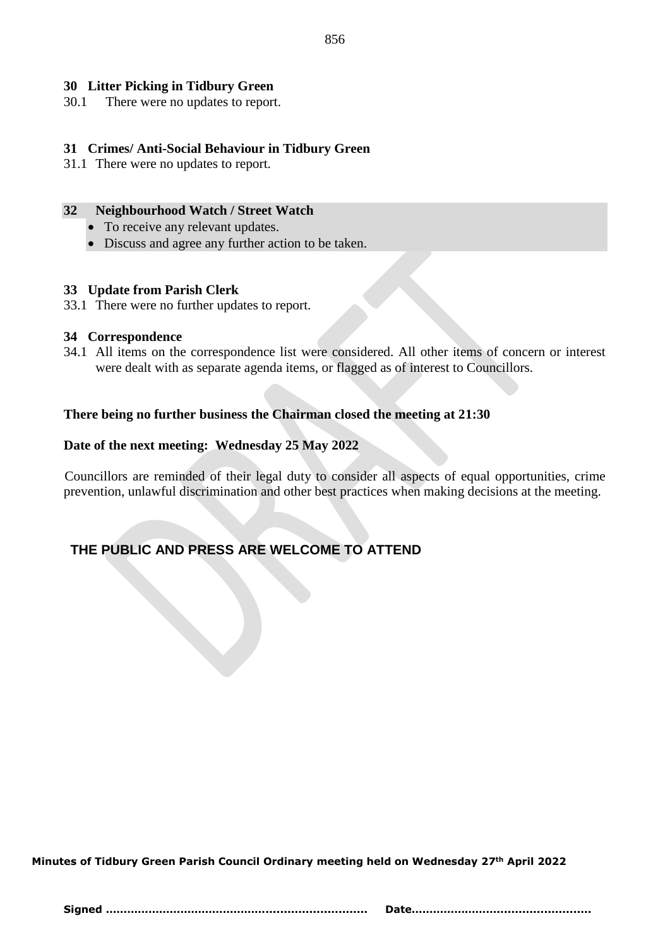# **30 Litter Picking in Tidbury Green**

30.1 There were no updates to report.

#### **31 Crimes/ Anti-Social Behaviour in Tidbury Green**

31.1 There were no updates to report.

#### **32 Neighbourhood Watch / Street Watch**

- To receive any relevant updates.
- Discuss and agree any further action to be taken.

#### **33 Update from Parish Clerk**

33.1 There were no further updates to report.

#### **34 Correspondence**

34.1 All items on the correspondence list were considered. All other items of concern or interest were dealt with as separate agenda items, or flagged as of interest to Councillors.

#### **There being no further business the Chairman closed the meeting at 21:30**

#### **Date of the next meeting: Wednesday 25 May 2022**

 Councillors are reminded of their legal duty to consider all aspects of equal opportunities, crime prevention, unlawful discrimination and other best practices when making decisions at the meeting.

# **THE PUBLIC AND PRESS ARE WELCOME TO ATTEND**

**Minutes of Tidbury Green Parish Council Ordinary meeting held on Wednesday 27th April 2022**

856